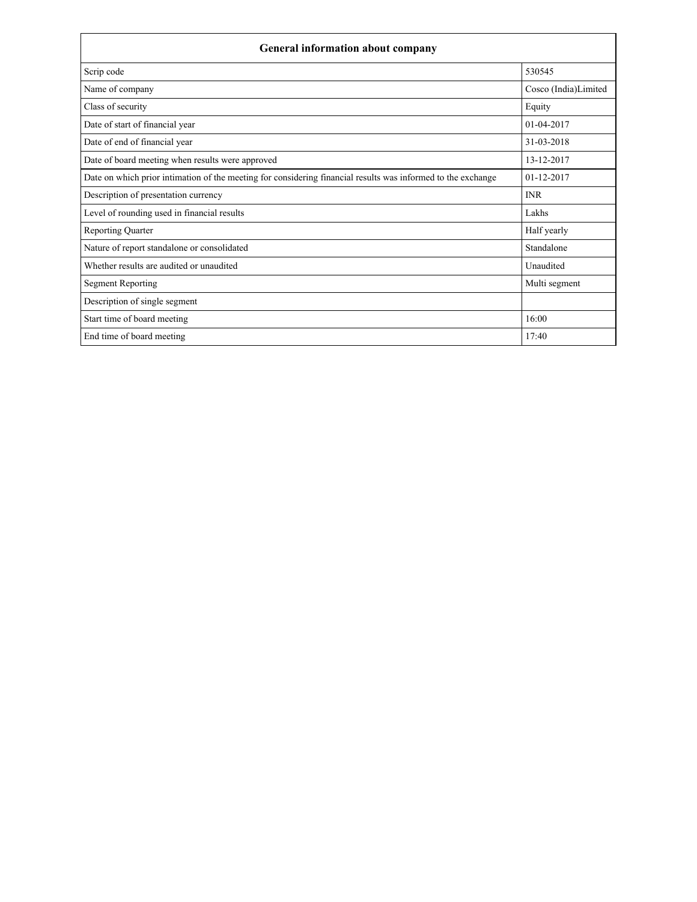| <b>General information about company</b>                                                                     |                      |  |  |
|--------------------------------------------------------------------------------------------------------------|----------------------|--|--|
| Scrip code                                                                                                   | 530545               |  |  |
| Name of company                                                                                              | Cosco (India)Limited |  |  |
| Class of security                                                                                            | Equity               |  |  |
| Date of start of financial year                                                                              | $01-04-2017$         |  |  |
| Date of end of financial year                                                                                | 31-03-2018           |  |  |
| Date of board meeting when results were approved                                                             | 13-12-2017           |  |  |
| Date on which prior intimation of the meeting for considering financial results was informed to the exchange | $01 - 12 - 2017$     |  |  |
| Description of presentation currency                                                                         | <b>INR</b>           |  |  |
| Level of rounding used in financial results                                                                  | Lakhs                |  |  |
| <b>Reporting Quarter</b>                                                                                     | Half yearly          |  |  |
| Nature of report standalone or consolidated                                                                  | Standalone           |  |  |
| Whether results are audited or unaudited                                                                     | Unaudited            |  |  |
| <b>Segment Reporting</b>                                                                                     | Multi segment        |  |  |
| Description of single segment                                                                                |                      |  |  |
| Start time of board meeting                                                                                  | 16:00                |  |  |
| End time of board meeting                                                                                    | 17:40                |  |  |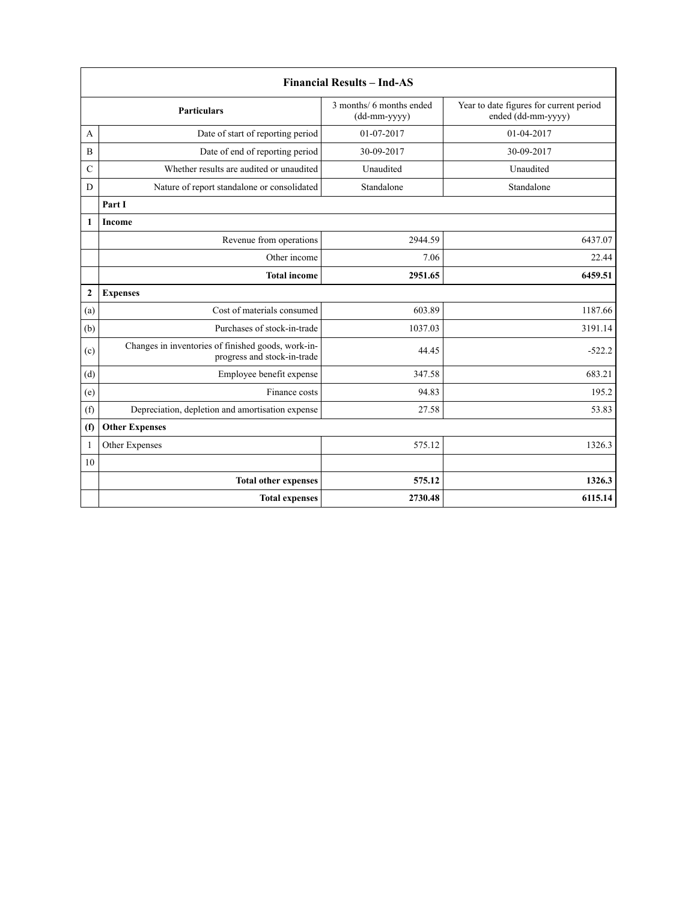| <b>Financial Results - Ind-AS</b> |                                                                                   |                                          |                                                               |  |  |
|-----------------------------------|-----------------------------------------------------------------------------------|------------------------------------------|---------------------------------------------------------------|--|--|
|                                   | <b>Particulars</b>                                                                | 3 months/ 6 months ended<br>(dd-mm-yyyy) | Year to date figures for current period<br>ended (dd-mm-yyyy) |  |  |
| A                                 | Date of start of reporting period                                                 | 01-07-2017                               | 01-04-2017                                                    |  |  |
| B                                 | Date of end of reporting period                                                   | 30-09-2017                               | 30-09-2017                                                    |  |  |
| $\mathcal{C}$                     | Whether results are audited or unaudited                                          | Unaudited                                | Unaudited                                                     |  |  |
| D                                 | Nature of report standalone or consolidated                                       | Standalone                               | Standalone                                                    |  |  |
|                                   | Part I                                                                            |                                          |                                                               |  |  |
| $\mathbf{1}$                      | Income                                                                            |                                          |                                                               |  |  |
|                                   | Revenue from operations                                                           | 2944.59                                  | 6437.07                                                       |  |  |
|                                   | Other income                                                                      | 7.06                                     | 22.44                                                         |  |  |
|                                   | <b>Total income</b>                                                               | 2951.65                                  | 6459.51                                                       |  |  |
| $\mathbf{2}$                      | <b>Expenses</b>                                                                   |                                          |                                                               |  |  |
| (a)                               | Cost of materials consumed                                                        | 603.89                                   | 1187.66                                                       |  |  |
| (b)                               | Purchases of stock-in-trade                                                       | 1037.03                                  | 3191.14                                                       |  |  |
| (c)                               | Changes in inventories of finished goods, work-in-<br>progress and stock-in-trade | 44.45                                    | $-522.2$                                                      |  |  |
| (d)                               | Employee benefit expense                                                          | 347.58                                   | 683.21                                                        |  |  |
| (e)                               | Finance costs                                                                     | 94.83                                    | 195.2                                                         |  |  |
| (f)                               | Depreciation, depletion and amortisation expense                                  | 27.58                                    | 53.83                                                         |  |  |
| (f)                               | <b>Other Expenses</b>                                                             |                                          |                                                               |  |  |
| $\mathbf{1}$                      | Other Expenses                                                                    | 575.12                                   | 1326.3                                                        |  |  |
| 10                                |                                                                                   |                                          |                                                               |  |  |
|                                   | <b>Total other expenses</b>                                                       | 575.12                                   | 1326.3                                                        |  |  |
|                                   | <b>Total expenses</b>                                                             | 2730.48                                  | 6115.14                                                       |  |  |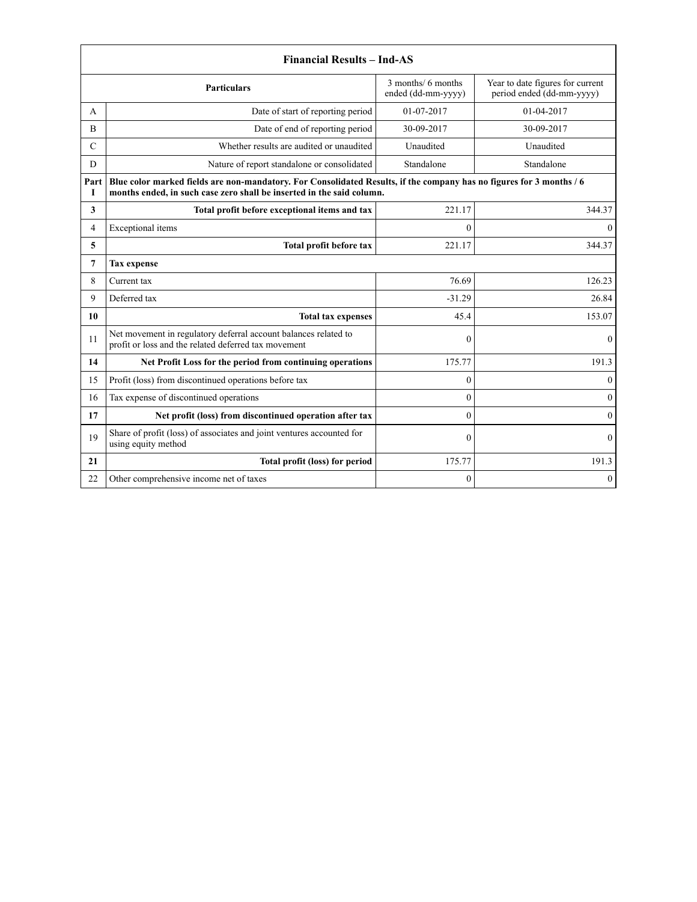| <b>Financial Results - Ind-AS</b> |                                                                                                                                                                                               |                                          |                                                               |  |
|-----------------------------------|-----------------------------------------------------------------------------------------------------------------------------------------------------------------------------------------------|------------------------------------------|---------------------------------------------------------------|--|
|                                   | <b>Particulars</b>                                                                                                                                                                            | 3 months/ 6 months<br>ended (dd-mm-yyyy) | Year to date figures for current<br>period ended (dd-mm-yyyy) |  |
| A                                 | Date of start of reporting period                                                                                                                                                             | 01-07-2017                               | 01-04-2017                                                    |  |
| B                                 | Date of end of reporting period                                                                                                                                                               | 30-09-2017                               | 30-09-2017                                                    |  |
| C                                 | Whether results are audited or unaudited                                                                                                                                                      | Unaudited                                | Unaudited                                                     |  |
| D                                 | Nature of report standalone or consolidated                                                                                                                                                   | Standalone                               | Standalone                                                    |  |
| Part<br>T                         | Blue color marked fields are non-mandatory. For Consolidated Results, if the company has no figures for 3 months / 6<br>months ended, in such case zero shall be inserted in the said column. |                                          |                                                               |  |
| 3                                 | Total profit before exceptional items and tax                                                                                                                                                 | 221.17                                   | 344.37                                                        |  |
| 4                                 | Exceptional items                                                                                                                                                                             | $\theta$                                 | $\Omega$                                                      |  |
| 5                                 | Total profit before tax                                                                                                                                                                       | 221.17                                   | 344.37                                                        |  |
| $\overline{7}$                    | <b>Tax expense</b>                                                                                                                                                                            |                                          |                                                               |  |
| 8                                 | Current tax                                                                                                                                                                                   | 76.69                                    | 126.23                                                        |  |
| 9                                 | Deferred tax                                                                                                                                                                                  | $-31.29$                                 | 26.84                                                         |  |
| 10                                | <b>Total tax expenses</b>                                                                                                                                                                     | 45.4                                     | 153.07                                                        |  |
| 11                                | Net movement in regulatory deferral account balances related to<br>profit or loss and the related deferred tax movement                                                                       | $\mathbf{0}$                             | $\theta$                                                      |  |
| 14                                | Net Profit Loss for the period from continuing operations                                                                                                                                     | 175.77                                   | 191.3                                                         |  |
| 15                                | Profit (loss) from discontinued operations before tax                                                                                                                                         | $\theta$                                 | $\Omega$                                                      |  |
| 16                                | Tax expense of discontinued operations                                                                                                                                                        | $\theta$                                 | $\mathbf{0}$                                                  |  |
| 17                                | Net profit (loss) from discontinued operation after tax                                                                                                                                       | $\theta$                                 | $\Omega$                                                      |  |
| 19                                | Share of profit (loss) of associates and joint ventures accounted for<br>using equity method                                                                                                  | $\theta$                                 | $\Omega$                                                      |  |
| 21                                | Total profit (loss) for period                                                                                                                                                                | 175.77                                   | 191.3                                                         |  |
| 22                                | Other comprehensive income net of taxes                                                                                                                                                       | $\mathbf{0}$                             | $\theta$                                                      |  |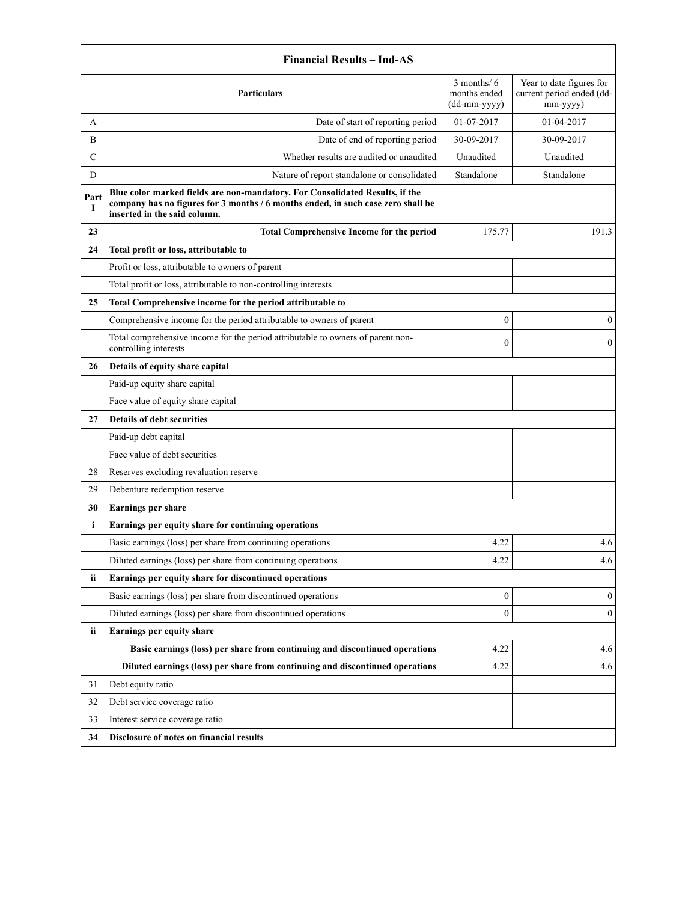|                                         | <b>Financial Results - Ind-AS</b>                                                                                                                                                                |                                                   |                                                                   |  |  |
|-----------------------------------------|--------------------------------------------------------------------------------------------------------------------------------------------------------------------------------------------------|---------------------------------------------------|-------------------------------------------------------------------|--|--|
|                                         | <b>Particulars</b>                                                                                                                                                                               | $3$ months/ $6$<br>months ended<br>$(dd-mm-yyyy)$ | Year to date figures for<br>current period ended (dd-<br>mm-yyyy) |  |  |
| A                                       | Date of start of reporting period                                                                                                                                                                | 01-07-2017                                        | 01-04-2017                                                        |  |  |
| B                                       | Date of end of reporting period                                                                                                                                                                  | 30-09-2017                                        | 30-09-2017                                                        |  |  |
| C                                       | Whether results are audited or unaudited                                                                                                                                                         | Unaudited                                         | Unaudited                                                         |  |  |
| D                                       | Nature of report standalone or consolidated                                                                                                                                                      | Standalone                                        | Standalone                                                        |  |  |
| Part<br>I                               | Blue color marked fields are non-mandatory. For Consolidated Results, if the<br>company has no figures for 3 months / 6 months ended, in such case zero shall be<br>inserted in the said column. |                                                   |                                                                   |  |  |
| 23                                      | <b>Total Comprehensive Income for the period</b>                                                                                                                                                 | 175.77                                            | 191.3                                                             |  |  |
| 24                                      | Total profit or loss, attributable to                                                                                                                                                            |                                                   |                                                                   |  |  |
|                                         | Profit or loss, attributable to owners of parent                                                                                                                                                 |                                                   |                                                                   |  |  |
|                                         | Total profit or loss, attributable to non-controlling interests                                                                                                                                  |                                                   |                                                                   |  |  |
| 25                                      | Total Comprehensive income for the period attributable to                                                                                                                                        |                                                   |                                                                   |  |  |
|                                         | Comprehensive income for the period attributable to owners of parent                                                                                                                             | $\boldsymbol{0}$                                  | $\mathbf{0}$                                                      |  |  |
|                                         | Total comprehensive income for the period attributable to owners of parent non-<br>controlling interests                                                                                         |                                                   | $\mathbf{0}$                                                      |  |  |
| 26                                      | Details of equity share capital                                                                                                                                                                  |                                                   |                                                                   |  |  |
|                                         | Paid-up equity share capital                                                                                                                                                                     |                                                   |                                                                   |  |  |
|                                         | Face value of equity share capital                                                                                                                                                               |                                                   |                                                                   |  |  |
| 27<br><b>Details of debt securities</b> |                                                                                                                                                                                                  |                                                   |                                                                   |  |  |
|                                         | Paid-up debt capital                                                                                                                                                                             |                                                   |                                                                   |  |  |
|                                         | Face value of debt securities                                                                                                                                                                    |                                                   |                                                                   |  |  |
| 28                                      | Reserves excluding revaluation reserve                                                                                                                                                           |                                                   |                                                                   |  |  |
| 29                                      | Debenture redemption reserve                                                                                                                                                                     |                                                   |                                                                   |  |  |
| 30                                      | Earnings per share                                                                                                                                                                               |                                                   |                                                                   |  |  |
| i                                       | Earnings per equity share for continuing operations                                                                                                                                              |                                                   |                                                                   |  |  |
|                                         | Basic earnings (loss) per share from continuing operations                                                                                                                                       | 4.22                                              | 4.6                                                               |  |  |
|                                         | Diluted earnings (loss) per share from continuing operations                                                                                                                                     | 4.22                                              | 4.6                                                               |  |  |
| ii.                                     | Earnings per equity share for discontinued operations                                                                                                                                            |                                                   |                                                                   |  |  |
|                                         | Basic earnings (loss) per share from discontinued operations                                                                                                                                     | $\boldsymbol{0}$                                  | $\bf{0}$                                                          |  |  |
|                                         | Diluted earnings (loss) per share from discontinued operations                                                                                                                                   | $\boldsymbol{0}$                                  | $\bf{0}$                                                          |  |  |
| ii                                      | Earnings per equity share                                                                                                                                                                        |                                                   |                                                                   |  |  |
|                                         | Basic earnings (loss) per share from continuing and discontinued operations                                                                                                                      | 4.22                                              | 4.6                                                               |  |  |
|                                         | Diluted earnings (loss) per share from continuing and discontinued operations                                                                                                                    | 4.22                                              | 4.6                                                               |  |  |
| Debt equity ratio<br>31                 |                                                                                                                                                                                                  |                                                   |                                                                   |  |  |
| Debt service coverage ratio<br>32       |                                                                                                                                                                                                  |                                                   |                                                                   |  |  |
| 33                                      | Interest service coverage ratio                                                                                                                                                                  |                                                   |                                                                   |  |  |
| 34                                      | Disclosure of notes on financial results                                                                                                                                                         |                                                   |                                                                   |  |  |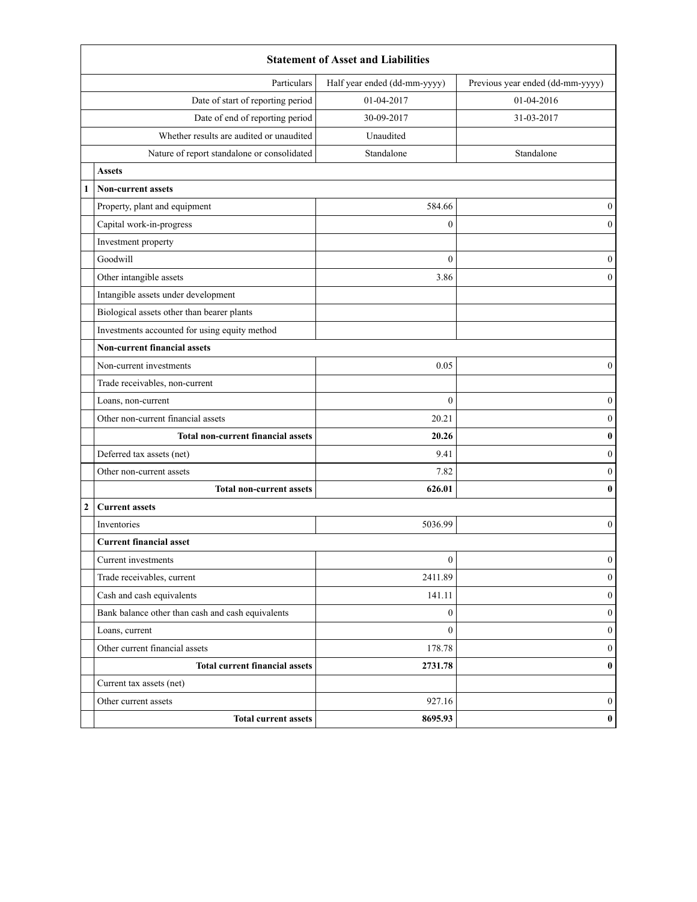|                                          | <b>Statement of Asset and Liabilities</b>         |                              |                                  |  |  |  |
|------------------------------------------|---------------------------------------------------|------------------------------|----------------------------------|--|--|--|
|                                          | Particulars                                       | Half year ended (dd-mm-yyyy) | Previous year ended (dd-mm-yyyy) |  |  |  |
|                                          | Date of start of reporting period                 | 01-04-2017                   | 01-04-2016                       |  |  |  |
| Date of end of reporting period          |                                                   | 30-09-2017                   | 31-03-2017                       |  |  |  |
| Whether results are audited or unaudited |                                                   | Unaudited                    |                                  |  |  |  |
|                                          | Nature of report standalone or consolidated       | Standalone                   | Standalone                       |  |  |  |
|                                          | <b>Assets</b>                                     |                              |                                  |  |  |  |
|                                          | <b>Non-current assets</b>                         |                              |                                  |  |  |  |
|                                          | Property, plant and equipment                     | 584.66                       | $\boldsymbol{0}$                 |  |  |  |
|                                          | Capital work-in-progress                          | $\boldsymbol{0}$             | $\boldsymbol{0}$                 |  |  |  |
|                                          | Investment property                               |                              |                                  |  |  |  |
|                                          | Goodwill                                          | $\theta$                     | $\mathbf{0}$                     |  |  |  |
|                                          | Other intangible assets                           | 3.86                         | $\mathbf{0}$                     |  |  |  |
|                                          | Intangible assets under development               |                              |                                  |  |  |  |
|                                          | Biological assets other than bearer plants        |                              |                                  |  |  |  |
|                                          | Investments accounted for using equity method     |                              |                                  |  |  |  |
|                                          | <b>Non-current financial assets</b>               |                              |                                  |  |  |  |
|                                          | Non-current investments                           | 0.05                         | $\mathbf{0}$                     |  |  |  |
|                                          | Trade receivables, non-current                    |                              |                                  |  |  |  |
|                                          | Loans, non-current                                | $\mathbf{0}$                 | $\boldsymbol{0}$                 |  |  |  |
|                                          | Other non-current financial assets                | 20.21                        | $\mathbf{0}$                     |  |  |  |
|                                          | <b>Total non-current financial assets</b>         | 20.26                        | $\bf{0}$                         |  |  |  |
|                                          | Deferred tax assets (net)                         | 9.41                         | $\mathbf{0}$                     |  |  |  |
|                                          | Other non-current assets                          | 7.82                         | $\mathbf{0}$                     |  |  |  |
|                                          | <b>Total non-current assets</b>                   | 626.01                       | $\bf{0}$                         |  |  |  |
| $\overline{2}$                           | <b>Current assets</b>                             |                              |                                  |  |  |  |
|                                          | Inventories                                       | 5036.99                      | $\boldsymbol{0}$                 |  |  |  |
|                                          | <b>Current financial asset</b>                    |                              |                                  |  |  |  |
|                                          | Current investments                               | $\boldsymbol{0}$             | $\mathbf{0}$                     |  |  |  |
|                                          | Trade receivables, current                        | 2411.89                      | $\mathbf{0}$                     |  |  |  |
|                                          | Cash and cash equivalents                         | 141.11                       | $\boldsymbol{0}$                 |  |  |  |
|                                          | Bank balance other than cash and cash equivalents | $\boldsymbol{0}$             | $\boldsymbol{0}$                 |  |  |  |
|                                          | Loans, current                                    | $\mathbf{0}$                 | $\mathbf{0}$                     |  |  |  |
|                                          | Other current financial assets                    | 178.78                       | $\mathbf{0}$                     |  |  |  |
|                                          | <b>Total current financial assets</b>             | 2731.78                      | $\bf{0}$                         |  |  |  |
|                                          | Current tax assets (net)                          |                              |                                  |  |  |  |
|                                          | Other current assets                              | 927.16                       | $\boldsymbol{0}$                 |  |  |  |
|                                          | <b>Total current assets</b>                       | 8695.93                      | $\pmb{0}$                        |  |  |  |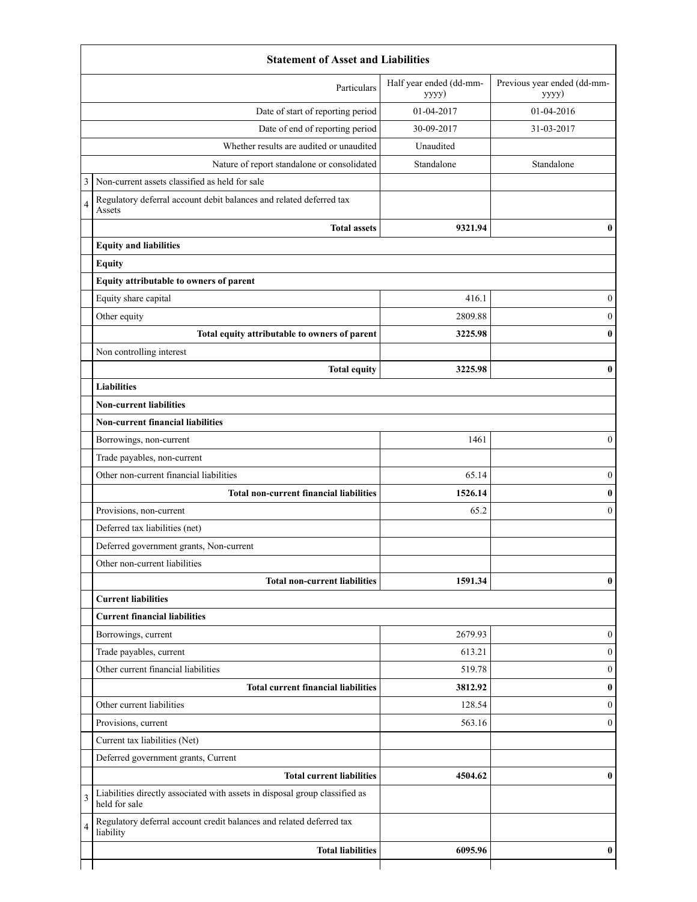|   | Particulars                                                                                  | Half year ended (dd-mm-<br>yyyy) | Previous year ended (dd-mm-<br>yyyy) |  |  |
|---|----------------------------------------------------------------------------------------------|----------------------------------|--------------------------------------|--|--|
|   | Date of start of reporting period                                                            | 01-04-2017                       | 01-04-2016                           |  |  |
|   | Date of end of reporting period                                                              | 30-09-2017                       | 31-03-2017                           |  |  |
|   | Whether results are audited or unaudited                                                     | Unaudited                        |                                      |  |  |
|   | Nature of report standalone or consolidated                                                  | Standalone                       | Standalone                           |  |  |
| 3 | Non-current assets classified as held for sale                                               |                                  |                                      |  |  |
| 4 | Regulatory deferral account debit balances and related deferred tax<br>Assets                |                                  |                                      |  |  |
|   | <b>Total assets</b>                                                                          | 9321.94                          | 0                                    |  |  |
|   | <b>Equity and liabilities</b>                                                                |                                  |                                      |  |  |
|   | <b>Equity</b>                                                                                |                                  |                                      |  |  |
|   | Equity attributable to owners of parent                                                      |                                  |                                      |  |  |
|   | Equity share capital                                                                         | 416.1                            | 0                                    |  |  |
|   | Other equity                                                                                 | 2809.88                          | $\Omega$                             |  |  |
|   | Total equity attributable to owners of parent                                                | 3225.98                          |                                      |  |  |
|   | Non controlling interest                                                                     |                                  |                                      |  |  |
|   | <b>Total equity</b>                                                                          | 3225.98                          | 0                                    |  |  |
|   | <b>Liabilities</b>                                                                           |                                  |                                      |  |  |
|   | <b>Non-current liabilities</b>                                                               |                                  |                                      |  |  |
|   | Non-current financial liabilities                                                            |                                  |                                      |  |  |
|   | Borrowings, non-current                                                                      | 1461                             | $\mathbf{0}$                         |  |  |
|   | Trade payables, non-current                                                                  |                                  |                                      |  |  |
|   | Other non-current financial liabilities                                                      | 65.14                            | $\mathbf{0}$                         |  |  |
|   | Total non-current financial liabilities                                                      | 1526.14                          | $\bf{0}$                             |  |  |
|   | Provisions, non-current                                                                      | 65.2                             | 0                                    |  |  |
|   | Deferred tax liabilities (net)                                                               |                                  |                                      |  |  |
|   | Deferred government grants, Non-current                                                      |                                  |                                      |  |  |
|   | Other non-current liabilities                                                                |                                  |                                      |  |  |
|   | <b>Total non-current liabilities</b>                                                         | 1591.34                          | 0                                    |  |  |
|   | <b>Current liabilities</b>                                                                   |                                  |                                      |  |  |
|   | <b>Current financial liabilities</b>                                                         |                                  |                                      |  |  |
|   | Borrowings, current                                                                          | 2679.93                          | $\theta$                             |  |  |
|   | Trade payables, current                                                                      | 613.21                           | $\mathbf{0}$                         |  |  |
|   | Other current financial liabilities                                                          | 519.78                           | $\Omega$                             |  |  |
|   | <b>Total current financial liabilities</b>                                                   | 3812.92                          |                                      |  |  |
|   | Other current liabilities                                                                    | 128.54                           | 0                                    |  |  |
|   | Provisions, current                                                                          | 563.16                           | 0                                    |  |  |
|   | Current tax liabilities (Net)                                                                |                                  |                                      |  |  |
|   | Deferred government grants, Current                                                          |                                  |                                      |  |  |
|   | <b>Total current liabilities</b>                                                             | 4504.62                          | 0                                    |  |  |
| 3 | Liabilities directly associated with assets in disposal group classified as<br>held for sale |                                  |                                      |  |  |
| 4 | Regulatory deferral account credit balances and related deferred tax<br>liability            |                                  |                                      |  |  |
|   | <b>Total liabilities</b>                                                                     | 6095.96                          | 0                                    |  |  |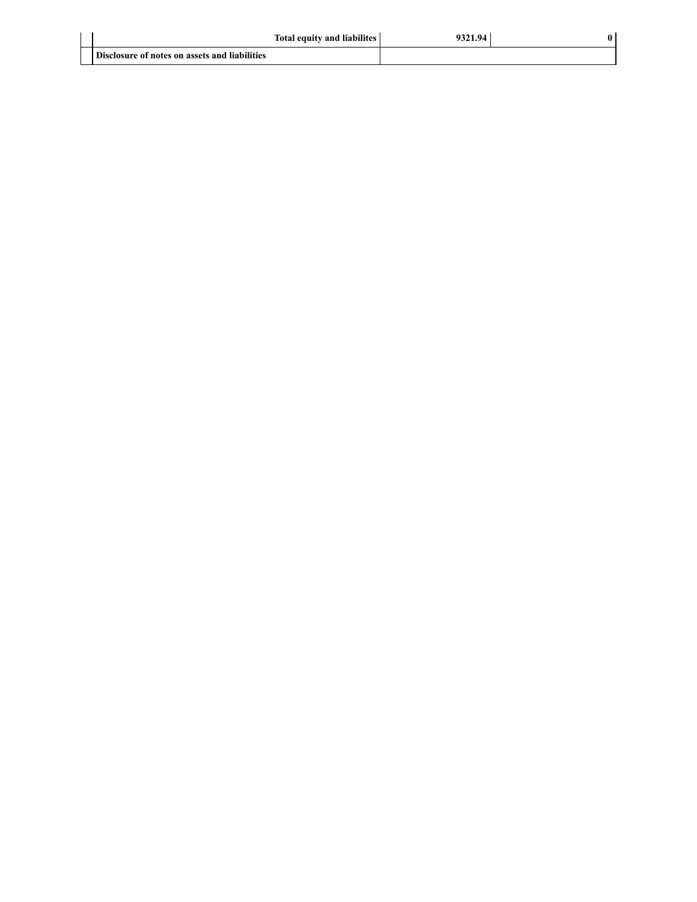| <b>Total equity and liabilites</b>            | 9321.94 | 0 |
|-----------------------------------------------|---------|---|
| Disclosure of notes on assets and liabilities |         |   |